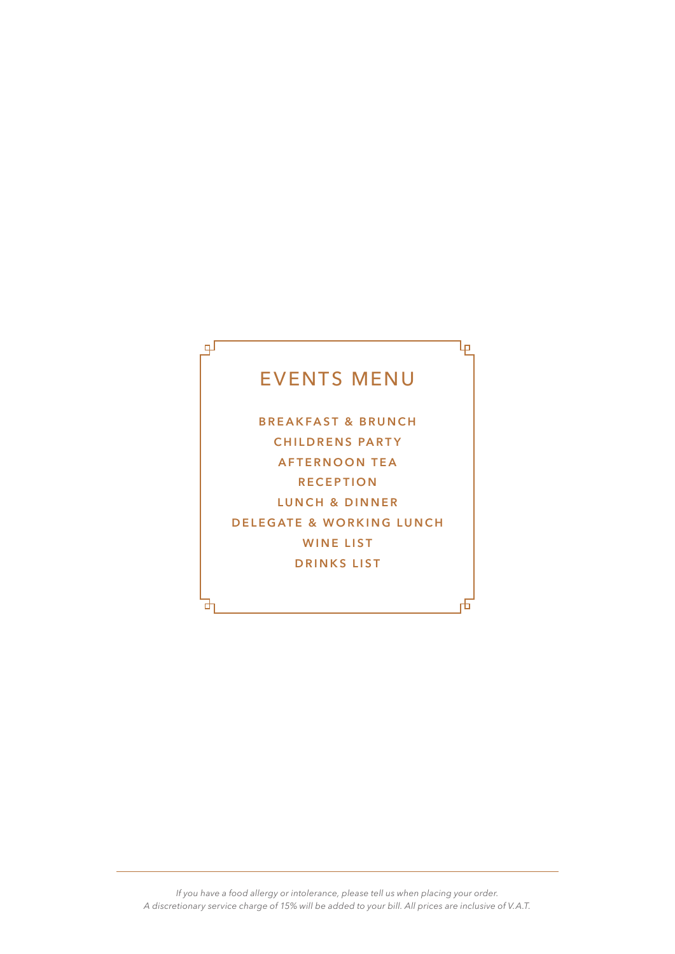# EVENTS MENU

Ъ

гFі

டி

라

**BREAKFAST & BRUNCH CHILDRENS PARTY AFTERNOON TEA RECEPTION LUNCH & DINNER DELEGATE & WORKING LUNCH WINE LIST DRINKS LIST**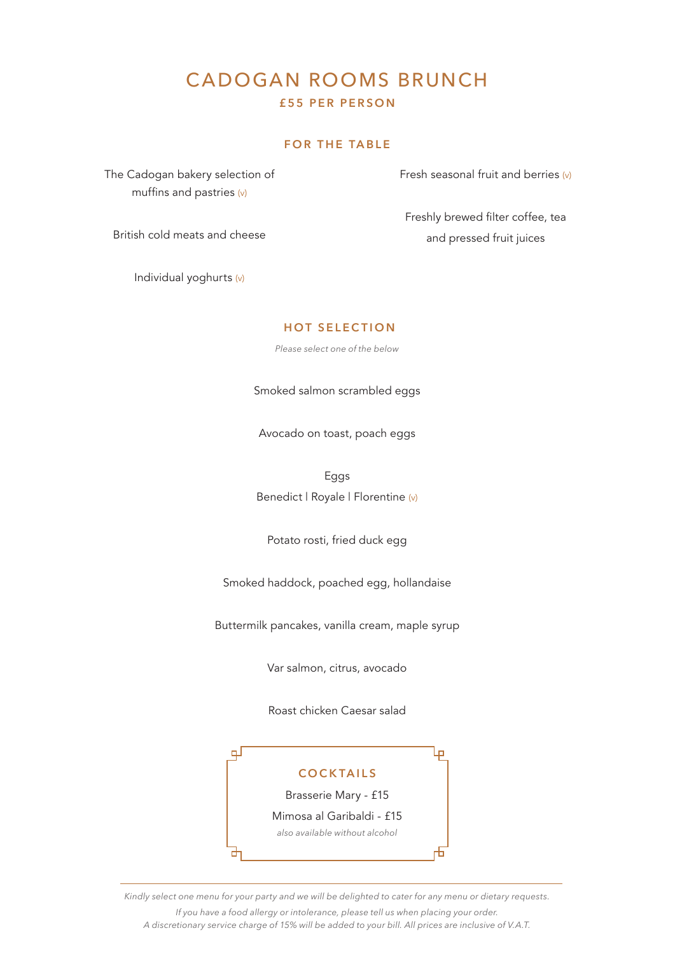## CADOGAN ROOMS BRUNCH **£55 PER PERSON**

## **FOR THE TABLE**

The Cadogan bakery selection of muffins and pastries (v)

Fresh seasonal fruit and berries  $(v)$ 

Freshly brewed filter coffee, tea and pressed fruit juices

British cold meats and cheese

Individual yoghurts (v)

#### **HOT SELECTION**

*Please select one of the below*

Smoked salmon scrambled eggs

Avocado on toast, poach eggs

Eggs Benedict | Royale | Florentine (v)

Potato rosti, fried duck egg

Smoked haddock, poached egg, hollandaise

Buttermilk pancakes, vanilla cream, maple syrup

Var salmon, citrus, avocado

Roast chicken Caesar salad

#### **COCKTAILS**

صا

石

ᆗ

Brasserie Mary - £15

Mimosa al Garibaldi - £15

*also available without alcohol*

*Kindly select one menu for your party and we will be delighted to cater for any menu or dietary requests.*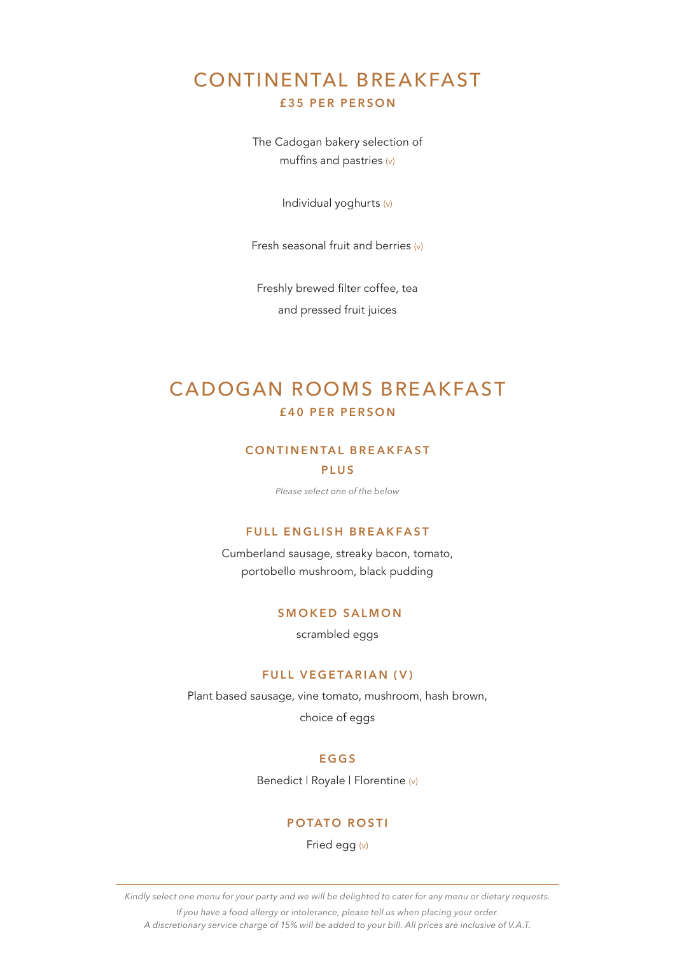## CONTINENTAL BREAKFAST **£35 PER PERSON**

The Cadogan bakery selection of muffins and pastries (v)

Individual yoghurts (v)

Fresh seasonal fruit and berries (v)

Freshly brewed filter coffee, tea and pressed fruit juices

## CADOGAN ROOMS BREAKFAST **£40 PER PERSON**

### **CONTINENTAL BREAKFAST PLUS**

*Please select one of the below*

#### **FULL ENGLISH BREAKFAST**

Cumberland sausage, streaky bacon, tomato, portobello mushroom, black pudding

#### **SMOKED SALMON**

scrambled eggs

#### **FULL VEGETARIAN (V)**

Plant based sausage, vine tomato, mushroom, hash brown, choice of eggs

#### **EGGS**

Benedict | Royale | Florentine (v)

#### **POTATO ROSTI**

Fried egg (v)

*Kindly select one menu for your party and we will be delighted to cater for any menu or dietary requests.*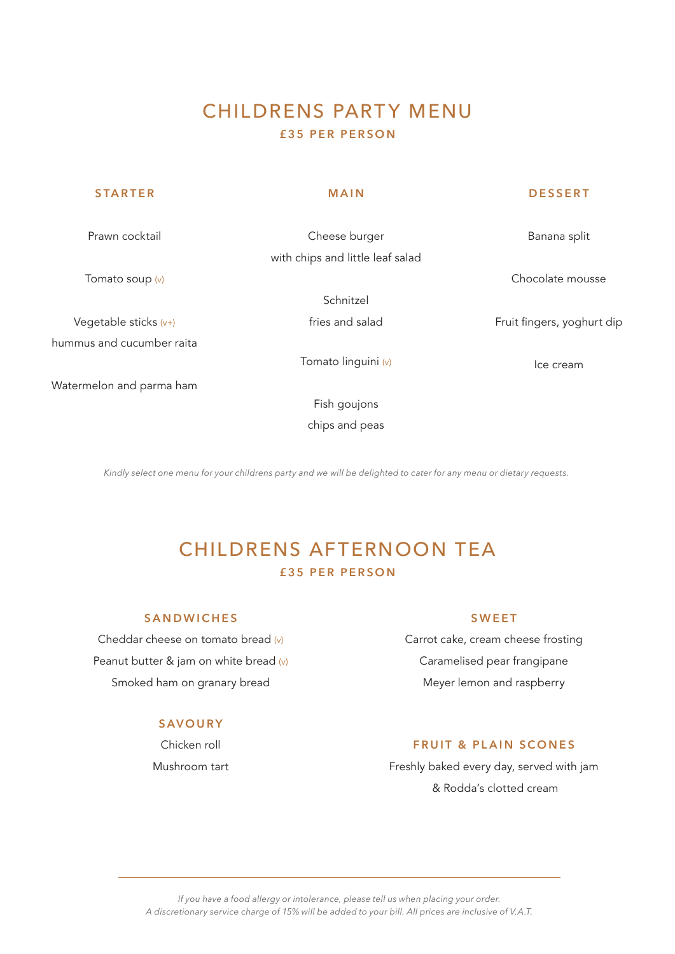## CHILDRENS PARTY MENU **£35 PER PERSON**

| <b>STARTER</b>            | <b>MAIN</b>                      | <b>DESSERT</b>             |
|---------------------------|----------------------------------|----------------------------|
| Prawn cocktail            | Cheese burger                    | Banana split               |
|                           | with chips and little leaf salad |                            |
| Tomato soup (v)           |                                  | Chocolate mousse           |
|                           | Schnitzel                        |                            |
| Vegetable sticks $(v+)$   | fries and salad                  | Fruit fingers, yoghurt dip |
| hummus and cucumber raita |                                  |                            |
|                           | Tomato linguini (v)              | Ice cream                  |
| Watermelon and parma ham  |                                  |                            |
|                           | Fish goujons                     |                            |
|                           | chips and peas                   |                            |

*Kindly select one menu for your childrens party and we will be delighted to cater for any menu or dietary requests.*

# CHILDRENS AFTERNOON TEA **£35 PER PERSON**

### **SANDWICHES**

Cheddar cheese on tomato bread (v) Peanut butter & jam on white bread (v) Smoked ham on granary bread

#### **SAVOURY**

Chicken roll Mushroom tart

## **SWEET**

Carrot cake, cream cheese frosting Caramelised pear frangipane Meyer lemon and raspberry

## **FRUIT & PLAIN SCONES**

Freshly baked every day, served with jam & Rodda's clotted cream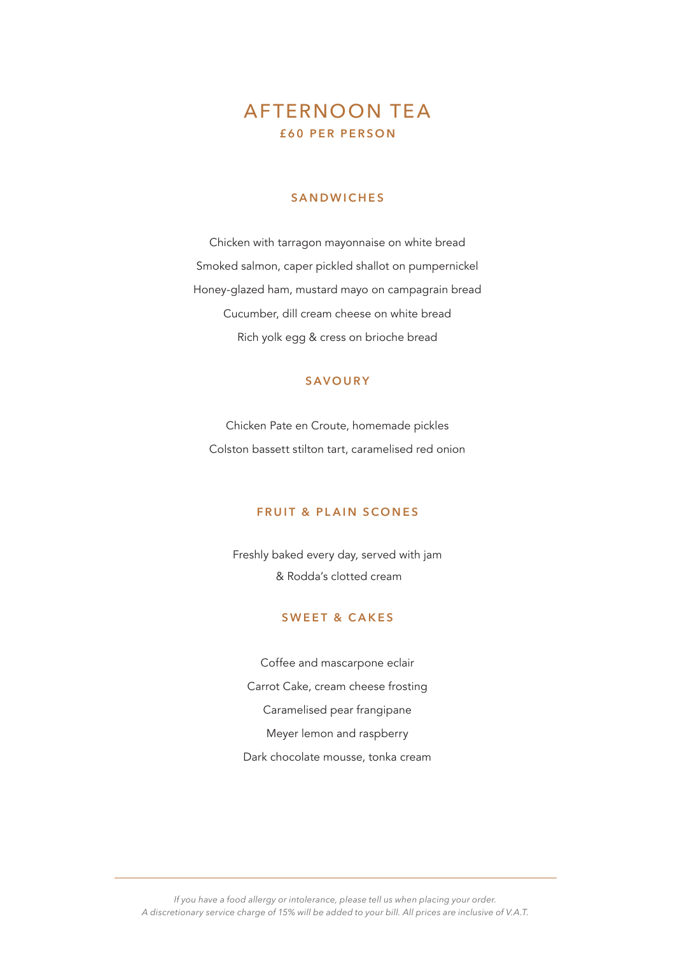## AFTERNOON TEA **£60 PER PERSON**

#### **SANDWICHES**

Chicken with tarragon mayonnaise on white bread Smoked salmon, caper pickled shallot on pumpernickel Honey-glazed ham, mustard mayo on campagrain bread Cucumber, dill cream cheese on white bread Rich yolk egg & cress on brioche bread

## **SAVOURY**

Chicken Pate en Croute, homemade pickles Colston bassett stilton tart, caramelised red onion

#### **FRUIT & PLAIN SCONES**

Freshly baked every day, served with jam & Rodda's clotted cream

## **SWEET & CAKES**

Coffee and mascarpone eclair Carrot Cake, cream cheese frosting Caramelised pear frangipane Meyer lemon and raspberry Dark chocolate mousse, tonka cream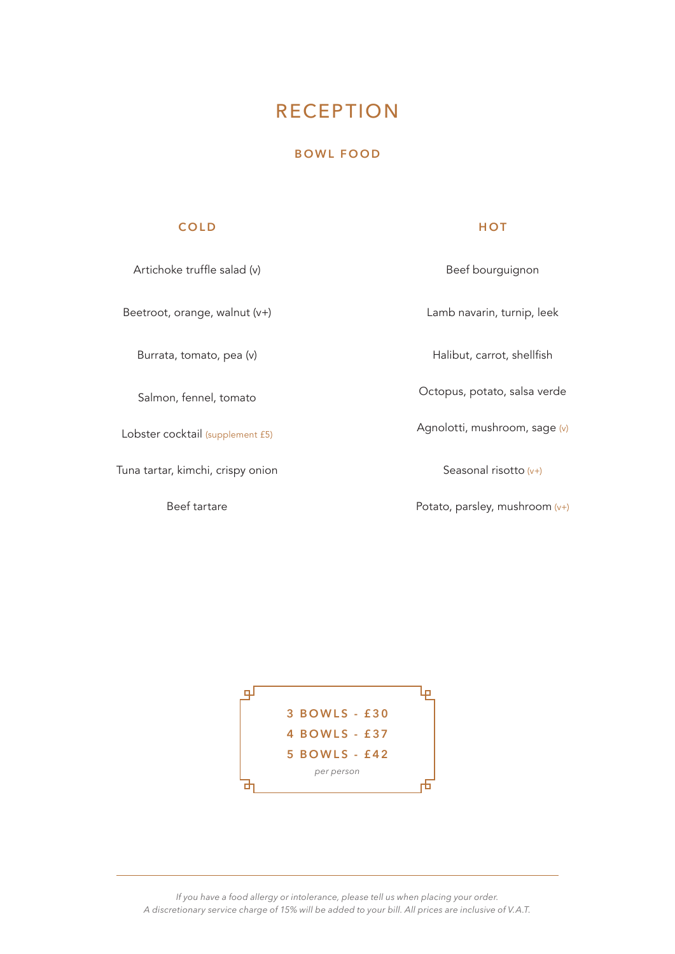# **RECEPTION**

### **BOWL FOOD**

## **COLD**

#### **HOT**

| Artichoke truffle salad (v)       | Beef bourguignon               |
|-----------------------------------|--------------------------------|
| Beetroot, orange, walnut $(v+)$   | Lamb navarin, turnip, leek     |
| Burrata, tomato, pea (v)          | Halibut, carrot, shellfish     |
| Salmon, fennel, tomato            | Octopus, potato, salsa verde   |
| Lobster cocktail (supplement £5)  | Agnolotti, mushroom, sage (v)  |
| Tuna tartar, kimchi, crispy onion | Seasonal risotto $(v+)$        |
| Beef tartare                      | Potato, parsley, mushroom (v+) |

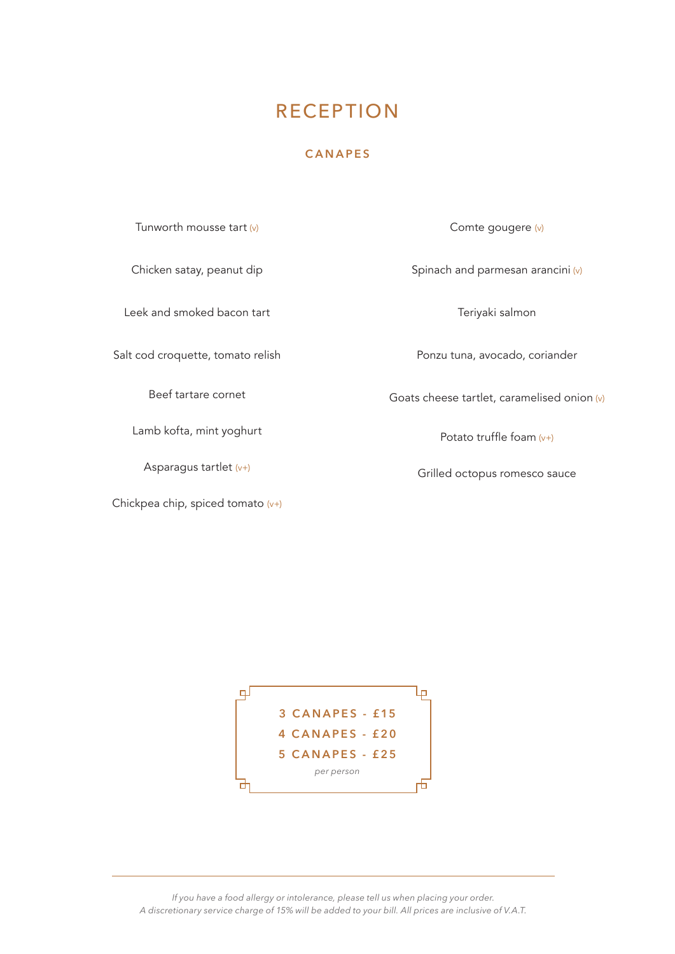# **RECEPTION**

### **CANAPES**

Tunworth mousse tart  $(v)$ 

Chicken satay, peanut dip

Leek and smoked bacon tart

Salt cod croquette, tomato relish

Beef tartare cornet

Lamb kofta, mint yoghurt

Asparagus tartlet  $(v+)$ 

Chickpea chip, spiced tomato (v+)

Comte gougere (v)

Spinach and parmesan arancini (v)

Teriyaki salmon

Ponzu tuna, avocado, coriander

Goats cheese tartlet, caramelised onion (v)

Potato truffle foam (v+)

Grilled octopus romesco sauce

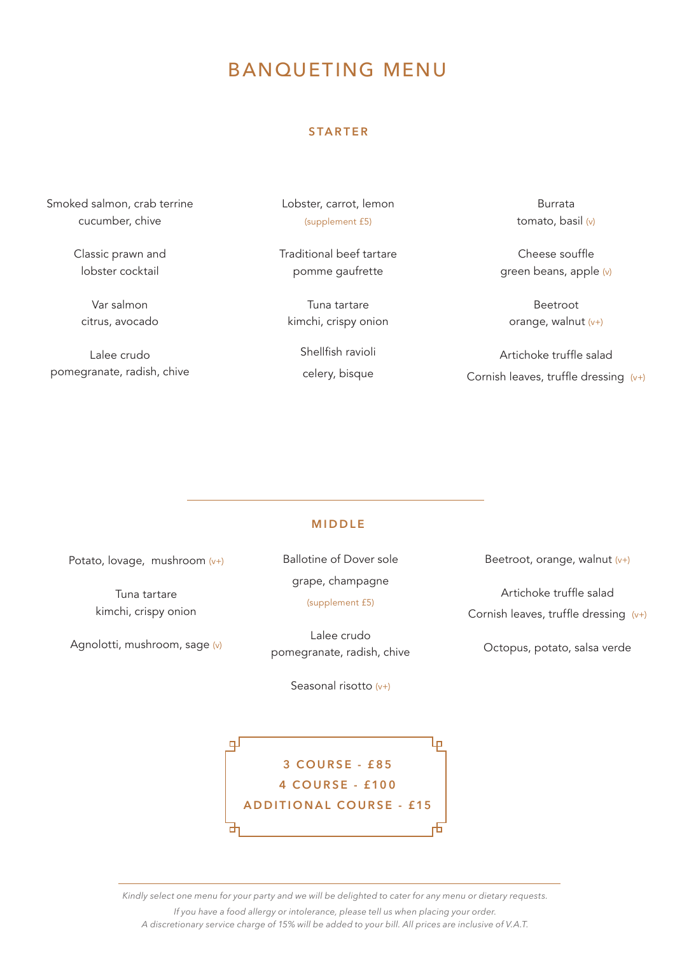# BANQUETING MENU

#### **STARTER**

Smoked salmon, crab terrine cucumber, chive

> Classic prawn and lobster cocktail

Var salmon citrus, avocado

Lalee crudo pomegranate, radish, chive Lobster, carrot, lemon (supplement £5)

Traditional beef tartare pomme gaufrette

Tuna tartare kimchi, crispy onion

> Shellfish ravioli celery, bisque

Burrata tomato, basil (v)

Cheese souffle green beans, apple (v)

Beetroot orange, walnut (v+)

Artichoke truffle salad Cornish leaves, truffle dressing  $(v+)$ 

#### **MIDDLE**

Potato, lovage, mushroom (v+)

Tuna tartare kimchi, crispy onion

Agnolotti, mushroom, sage (v)

Ballotine of Dover sole grape, champagne (supplement £5)

Lalee crudo pomegranate, radish, chive

Seasonal risotto  $(v+)$ 

Beetroot, orange, walnut (v+)

Artichoke truffle salad Cornish leaves, truffle dressing (v+)

Octopus, potato, salsa verde

ᆗ Lр **3 COURSE - £85 4 COURSE - £100 ADDITIONAL COURSE - £15**

*Kindly select one menu for your party and we will be delighted to cater for any menu or dietary requests. If you have a food allergy or intolerance, please tell us when placing your order. A discretionary service charge of 15% will be added to your bill. All prices are inclusive of V.A.T.*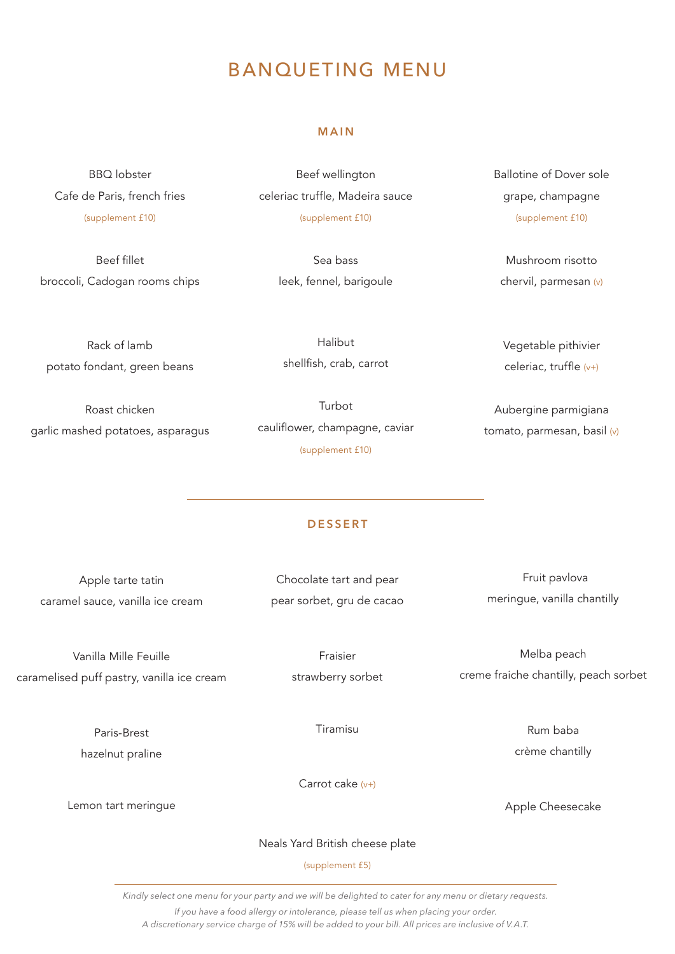# BANQUETING MENU

#### **MAIN**

Beef wellington

BBQ lobster Cafe de Paris, french fries (supplement £10)

Beef fillet broccoli, Cadogan rooms chips celeriac truffle, Madeira sauce (supplement £10)

> Sea bass leek, fennel, barigoule

Ballotine of Dover sole grape, champagne (supplement £10)

Mushroom risotto chervil, parmesan (v)

Rack of lamb potato fondant, green beans

Roast chicken garlic mashed potatoes, asparagus

Halibut shellfish, crab, carrot

Turbot cauliflower, champagne, caviar (supplement £10)

Vegetable pithivier celeriac, truffle (v+)

Aubergine parmigiana tomato, parmesan, basil (v)

Melba peach creme fraiche chantilly, peach sorbet

> Rum baba crème chantilly

Apple Cheesecake

#### **D E S S E R T**

| Apple tarte tatin                | Chocolate tart and pear   | Fruit pavlova               |
|----------------------------------|---------------------------|-----------------------------|
| caramel sauce, vanilla ice cream | pear sorbet, gru de cacao | meringue, vanilla chantilly |

Vanilla Mille Feuille caramelised puff pastry, vanilla ice cream

> Paris-Brest hazelnut praline

Fraisier strawberry sorbet

Tiramisu

Carrot cake (v+)

Lemon tart meringue

Neals Yard British cheese plate

(supplement £5)

*Kindly select one menu for your party and we will be delighted to cater for any menu or dietary requests. If you have a food allergy or intolerance, please tell us when placing your order.*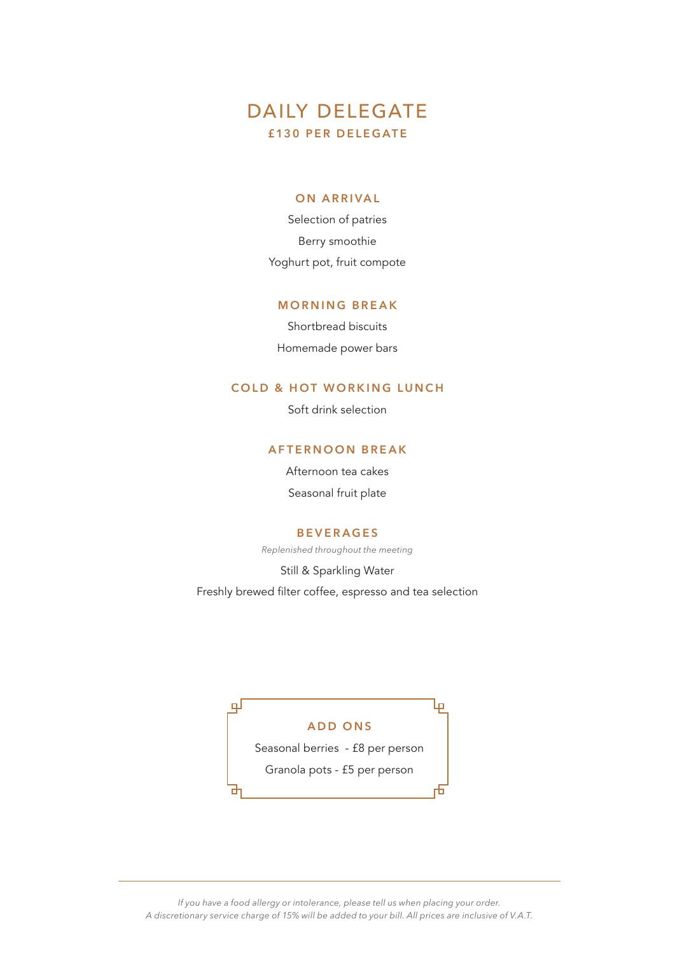## DAILY DELEGATE **£130 PER DELEGATE**

#### **ON ARRIVAL**

Selection of patries Berry smoothie Yoghurt pot, fruit compote

#### **MORNING BREAK**

Shortbread biscuits Homemade power bars

#### **COLD & HOT WORKING LUNCH**

Soft drink selection

#### **AFTERNOON BREAK**

Afternoon tea cakes Seasonal fruit plate

#### **BEVERAGES**

*Replenished throughout the meeting*

Still & Sparkling Water

Freshly brewed filter coffee, espresso and tea selection

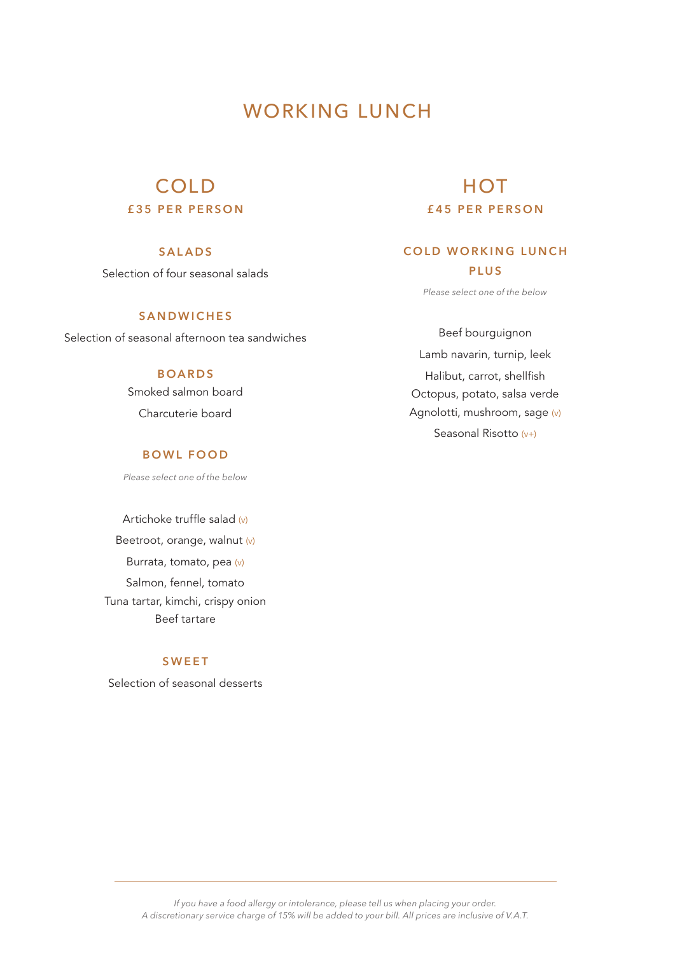# WORKING LUNCH

## COLD **£35 PER PERSON**

## **SALADS**

Selection of four seasonal salads

## **SANDWICHES**

Selection of seasonal afternoon tea sandwiches

## **BOARDS**

Smoked salmon board Charcuterie board

### **BOWL FOOD**

*Please select one of the below*

Artichoke truffle salad (v) Beetroot, orange, walnut (v) Burrata, tomato, pea (v) Salmon, fennel, tomato Tuna tartar, kimchi, crispy onion Beef tartare

#### **SWEET**

Selection of seasonal desserts

## **HOT £ 4 5 P E R P E R S O N**

## **COLD WORKING LUNCH PLUS**

*Please select one of the below*

Beef bourguignon Lamb navarin, turnip, leek Halibut, carrot, shellfish Octopus, potato, salsa verde Agnolotti, mushroom, sage (v) Seasonal Risotto (v+)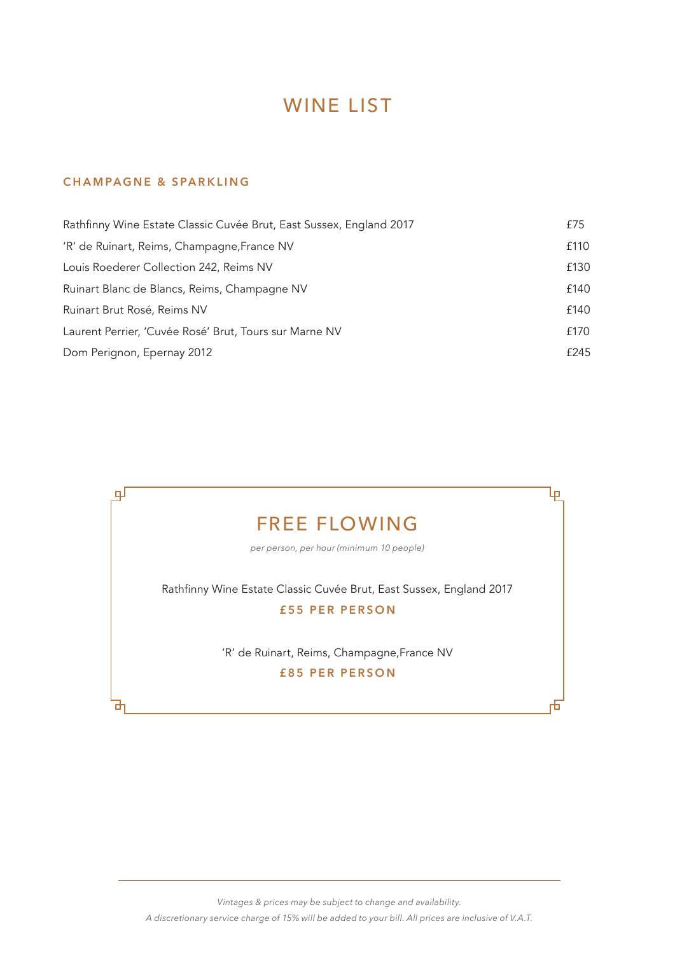# WINE LIST

## **CHAMPAGNE & SPARKLING**

| Rathfinny Wine Estate Classic Cuvée Brut, East Sussex, England 2017 | £75  |
|---------------------------------------------------------------------|------|
| 'R' de Ruinart, Reims, Champagne, France NV                         | £110 |
| Louis Roederer Collection 242, Reims NV                             | £130 |
| Ruinart Blanc de Blancs, Reims, Champagne NV                        | £140 |
| Ruinart Brut Rosé, Reims NV                                         | £140 |
| Laurent Perrier, 'Cuvée Rosé' Brut, Tours sur Marne NV              | £170 |
| Dom Perignon, Epernay 2012                                          | £245 |



*Vintages & prices may be subject to change and availability. A discretionary service charge of 15% will be added to your bill. All prices are inclusive of V.A.T.*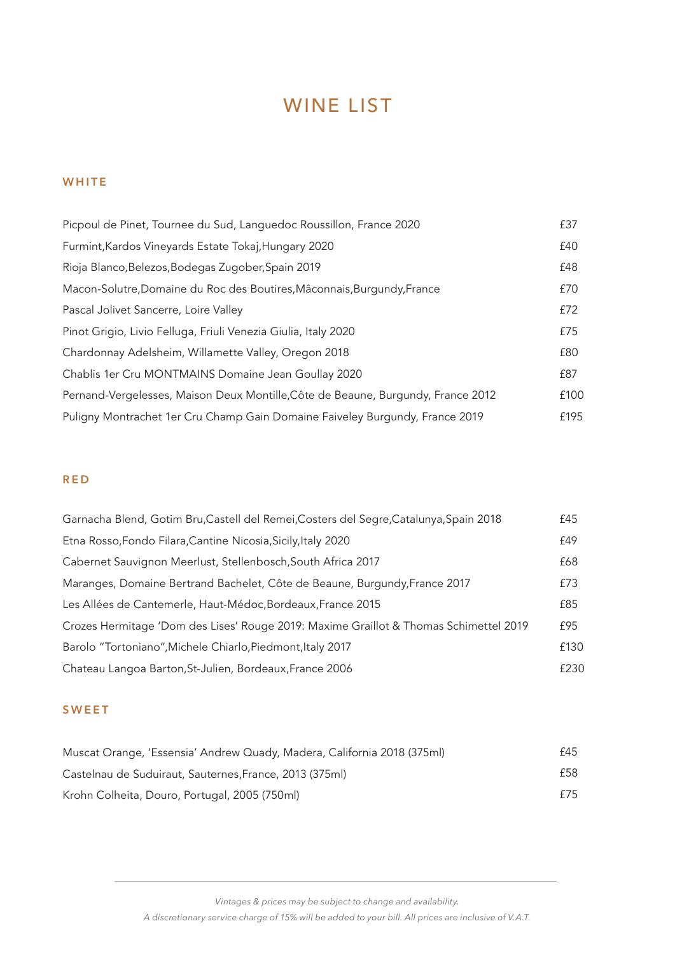# WINE LIST

## **WHITE**

| Picpoul de Pinet, Tournee du Sud, Languedoc Roussillon, France 2020              | £37  |
|----------------------------------------------------------------------------------|------|
| Furmint, Kardos Vineyards Estate Tokaj, Hungary 2020                             | £40  |
| Rioja Blanco, Belezos, Bodegas Zugober, Spain 2019                               | £48  |
| Macon-Solutre, Domaine du Roc des Boutires, Mâconnais, Burgundy, France          | £70  |
| Pascal Jolivet Sancerre, Loire Valley                                            | £72  |
| Pinot Grigio, Livio Felluga, Friuli Venezia Giulia, Italy 2020                   | £75  |
| Chardonnay Adelsheim, Willamette Valley, Oregon 2018                             | £80  |
| Chablis 1er Cru MONTMAINS Domaine Jean Goullay 2020                              | £87  |
| Pernand-Vergelesses, Maison Deux Montille, Côte de Beaune, Burgundy, France 2012 | £100 |
| Puligny Montrachet 1er Cru Champ Gain Domaine Faiveley Burgundy, France 2019     | £195 |

## **RED**

| Garnacha Blend, Gotim Bru, Castell del Remei, Costers del Segre, Catalunya, Spain 2018 | £45  |
|----------------------------------------------------------------------------------------|------|
| Etna Rosso, Fondo Filara, Cantine Nicosia, Sicily, Italy 2020                          | £49  |
| Cabernet Sauvignon Meerlust, Stellenbosch, South Africa 2017                           | £68  |
| Maranges, Domaine Bertrand Bachelet, Côte de Beaune, Burgundy, France 2017             | £73  |
| Les Allées de Cantemerle, Haut-Médoc, Bordeaux, France 2015                            | £85  |
| Crozes Hermitage 'Dom des Lises' Rouge 2019: Maxime Graillot & Thomas Schimettel 2019  | £95  |
| Barolo "Tortoniano", Michele Chiarlo, Piedmont, Italy 2017                             | £130 |
| Chateau Langoa Barton, St-Julien, Bordeaux, France 2006                                | £230 |

### **SWEET**

| Muscat Orange, 'Essensia' Andrew Quady, Madera, California 2018 (375ml) | £45 |
|-------------------------------------------------------------------------|-----|
| Castelnau de Suduiraut, Sauternes, France, 2013 (375ml)                 | £58 |
| Krohn Colheita, Douro, Portugal, 2005 (750ml)                           | f75 |

*Vintages & prices may be subject to change and availability.*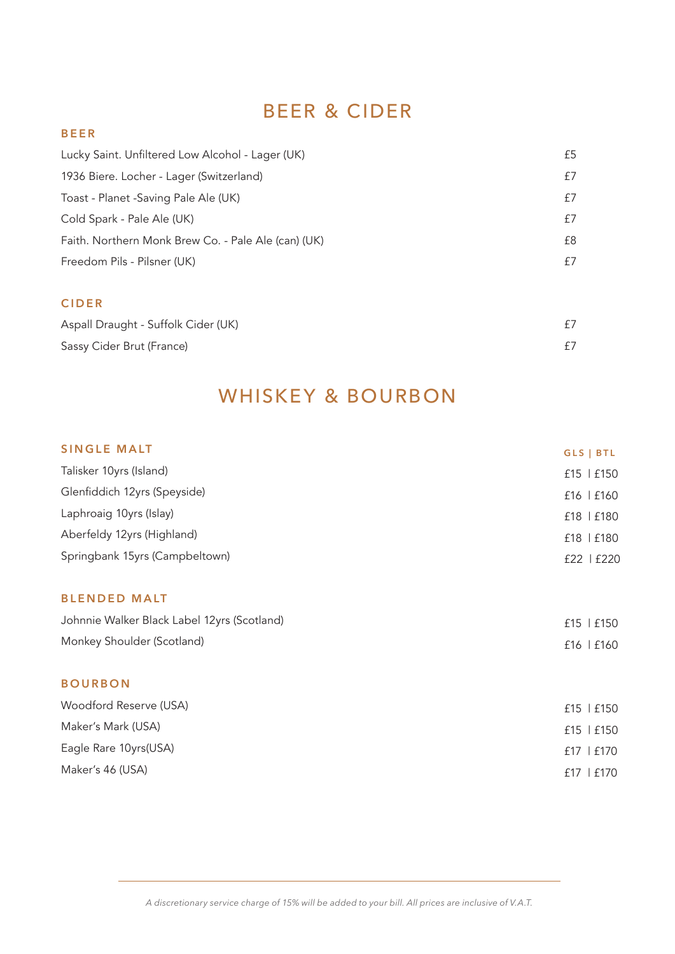# BEER & CIDER

## **B E E R**

| Lucky Saint. Unfiltered Low Alcohol - Lager (UK)    | £5 |
|-----------------------------------------------------|----|
| 1936 Biere. Locher - Lager (Switzerland)            | £7 |
| Toast - Planet - Saving Pale Ale (UK)               | £7 |
| Cold Spark - Pale Ale (UK)                          | £7 |
| Faith. Northern Monk Brew Co. - Pale Ale (can) (UK) | £8 |
| Freedom Pils - Pilsner (UK)                         | £7 |
|                                                     |    |
| <b>CIDER</b>                                        |    |

| Aspall Draught - Suffolk Cider (UK) |  |
|-------------------------------------|--|
| Sassy Cider Brut (France)           |  |

# WHISKEY & BOURBON

| <b>SINGLE MALT</b>                          | GLS   BTL      |
|---------------------------------------------|----------------|
| Talisker 10yrs (Island)                     | £15   £150     |
| Glenfiddich 12yrs (Speyside)                | £16   £160     |
| Laphroaig 10yrs (Islay)                     | £18   £180     |
| Aberfeldy 12yrs (Highland)                  | £18   £180     |
| Springbank 15yrs (Campbeltown)              | £22   £220     |
| <b>BLENDED MALT</b>                         |                |
| Johnnie Walker Black Label 12yrs (Scotland) | £15   £150     |
| Monkey Shoulder (Scotland)                  | £16   £160     |
| <b>BOURBON</b>                              |                |
| Woodford Reserve (USA)                      | $f15$   $f150$ |
| Maker's Mark (USA)                          | £15   £150     |
| Eagle Rare 10yrs(USA)                       | £17   £170     |
| Maker's 46 (USA)                            | $£17$   $£170$ |
|                                             |                |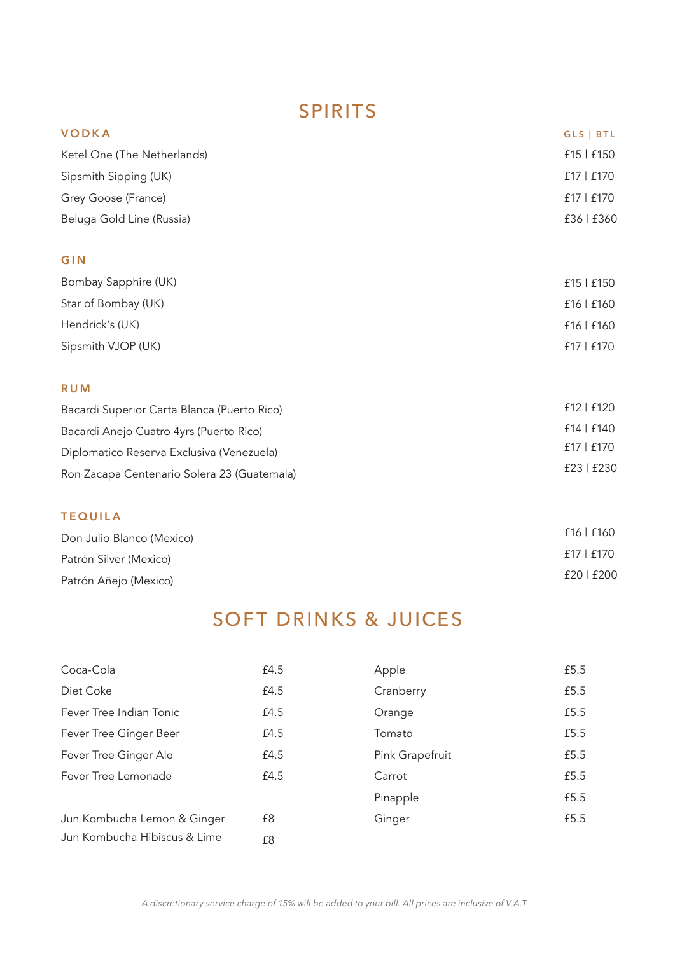# BEER & CIDER SPIRITS

| <b>VODKA</b>                                | GLS   BTL  |
|---------------------------------------------|------------|
| Ketel One (The Netherlands)                 | £15   £150 |
| Sipsmith Sipping (UK)                       | £17   £170 |
| Grey Goose (France)                         | £17   £170 |
| Beluga Gold Line (Russia)                   | £36   £360 |
| GIN                                         |            |
| Bombay Sapphire (UK)                        | £15   £150 |
| Star of Bombay (UK)                         | £16   £160 |
| Hendrick's (UK)                             | £16   £160 |
| Sipsmith VJOP (UK)                          | £17   £170 |
| <b>RUM</b>                                  |            |
| Bacardi Superior Carta Blanca (Puerto Rico) | £12   £120 |
| Bacardi Anejo Cuatro 4yrs (Puerto Rico)     | £14   £140 |
| Diplomatico Reserva Exclusiva (Venezuela)   | £17   £170 |
| Ron Zacapa Centenario Solera 23 (Guatemala) | £23   £230 |
| <b>TEQUILA</b>                              |            |

| Don Julio Blanco (Mexico) | £16 E160   |
|---------------------------|------------|
| Patrón Silver (Mexico)    | £17   £170 |
| Patrón Añejo (Mexico)     | £20   £200 |

# SOFT DRINKS & JUICES

| Coca-Cola                    | £4.5 | Apple           | £5.5 |
|------------------------------|------|-----------------|------|
| Diet Coke                    | £4.5 | Cranberry       | £5.5 |
| Fever Tree Indian Tonic      | £4.5 | Orange          | £5.5 |
| Fever Tree Ginger Beer       | £4.5 | Tomato          | £5.5 |
| Fever Tree Ginger Ale        | £4.5 | Pink Grapefruit | £5.5 |
| Fever Tree Lemonade          | £4.5 | Carrot          | £5.5 |
|                              |      | Pinapple        | £5.5 |
| Jun Kombucha Lemon & Ginger  | £8   | Ginger          | £5.5 |
| Jun Kombucha Hibiscus & Lime | £8   |                 |      |